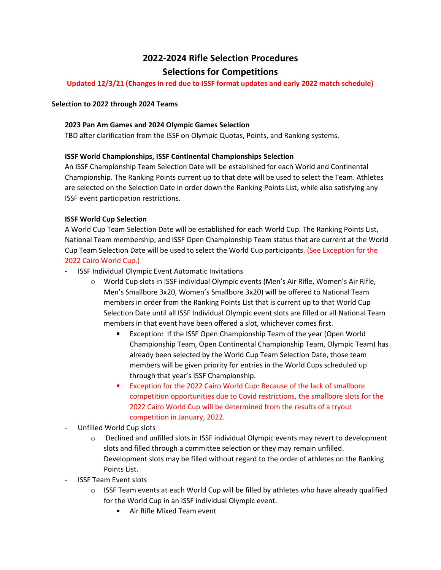# **2022-2024 Rifle Selection Procedures Selections for Competitions**

# **Updated 12/3/21 (Changes in red due to ISSF format updates and early 2022 match schedule)**

### **Selection to 2022 through 2024 Teams**

## **2023 Pan Am Games and 2024 Olympic Games Selection**

TBD after clarification from the ISSF on Olympic Quotas, Points, and Ranking systems.

## **ISSF World Championships, ISSF Continental Championships Selection**

An ISSF Championship Team Selection Date will be established for each World and Continental Championship. The Ranking Points current up to that date will be used to select the Team. Athletes are selected on the Selection Date in order down the Ranking Points List, while also satisfying any ISSF event participation restrictions.

# **ISSF World Cup Selection**

A World Cup Team Selection Date will be established for each World Cup. The Ranking Points List, National Team membership, and ISSF Open Championship Team status that are current at the World Cup Team Selection Date will be used to select the World Cup participants. (See Exception for the 2022 Cairo World Cup.)

- ISSF Individual Olympic Event Automatic Invitations
	- o World Cup slots in ISSF individual Olympic events (Men's Air Rifle, Women's Air Rifle, Men's Smallbore 3x20, Women's Smallbore 3x20) will be offered to National Team members in order from the Ranking Points List that is current up to that World Cup Selection Date until all ISSF Individual Olympic event slots are filled or all National Team members in that event have been offered a slot, whichever comes first.
		- Exception: If the ISSF Open Championship Team of the year (Open World Championship Team, Open Continental Championship Team, Olympic Team) has already been selected by the World Cup Team Selection Date, those team members will be given priority for entries in the World Cups scheduled up through that year's ISSF Championship.
		- Exception for the 2022 Cairo World Cup: Because of the lack of smallbore competition opportunities due to Covid restrictions, the smallbore slots for the 2022 Cairo World Cup will be determined from the results of a tryout competition in January, 2022.
- Unfilled World Cup slots
	- $\circ$  Declined and unfilled slots in ISSF individual Olympic events may revert to development slots and filled through a committee selection or they may remain unfilled. Development slots may be filled without regard to the order of athletes on the Ranking Points List.
- ISSF Team Event slots
	- $\circ$  ISSF Team events at each World Cup will be filled by athletes who have already qualified for the World Cup in an ISSF individual Olympic event.
		- Air Rifle Mixed Team event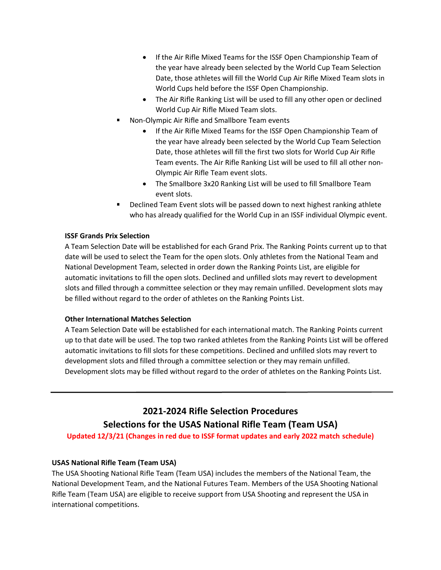- If the Air Rifle Mixed Teams for the ISSF Open Championship Team of the year have already been selected by the World Cup Team Selection Date, those athletes will fill the World Cup Air Rifle Mixed Team slots in World Cups held before the ISSF Open Championship.
- The Air Rifle Ranking List will be used to fill any other open or declined World Cup Air Rifle Mixed Team slots.
- Non-Olympic Air Rifle and Smallbore Team events
	- If the Air Rifle Mixed Teams for the ISSF Open Championship Team of the year have already been selected by the World Cup Team Selection Date, those athletes will fill the first two slots for World Cup Air Rifle Team events. The Air Rifle Ranking List will be used to fill all other non-Olympic Air Rifle Team event slots.
	- The Smallbore 3x20 Ranking List will be used to fill Smallbore Team event slots.
- Declined Team Event slots will be passed down to next highest ranking athlete who has already qualified for the World Cup in an ISSF individual Olympic event.

## **ISSF Grands Prix Selection**

A Team Selection Date will be established for each Grand Prix. The Ranking Points current up to that date will be used to select the Team for the open slots. Only athletes from the National Team and National Development Team, selected in order down the Ranking Points List, are eligible for automatic invitations to fill the open slots. Declined and unfilled slots may revert to development slots and filled through a committee selection or they may remain unfilled. Development slots may be filled without regard to the order of athletes on the Ranking Points List.

### **Other International Matches Selection**

A Team Selection Date will be established for each international match. The Ranking Points current up to that date will be used. The top two ranked athletes from the Ranking Points List will be offered automatic invitations to fill slots for these competitions. Declined and unfilled slots may revert to development slots and filled through a committee selection or they may remain unfilled. Development slots may be filled without regard to the order of athletes on the Ranking Points List.

# **2021-2024 Rifle Selection Procedures Selections for the USAS National Rifle Team (Team USA)**

**Updated 12/3/21 (Changes in red due to ISSF format updates and early 2022 match schedule)**

# **USAS National Rifle Team (Team USA)**

The USA Shooting National Rifle Team (Team USA) includes the members of the National Team, the National Development Team, and the National Futures Team. Members of the USA Shooting National Rifle Team (Team USA) are eligible to receive support from USA Shooting and represent the USA in international competitions.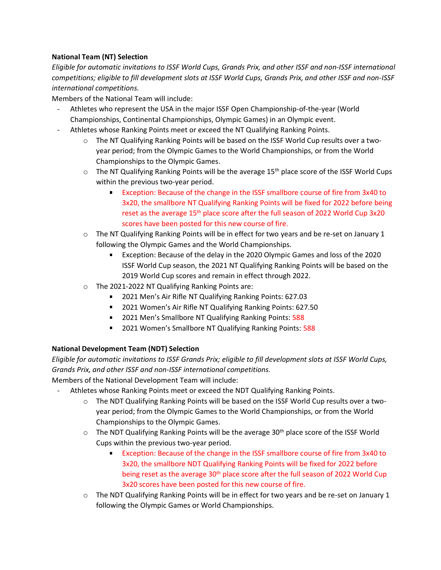# **National Team (NT) Selection**

*Eligible for automatic invitations to ISSF World Cups, Grands Prix, and other ISSF and non-ISSF international competitions; eligible to fill development slots at ISSF World Cups, Grands Prix, and other ISSF and non-ISSF international competitions.*

Members of the National Team will include:

- Athletes who represent the USA in the major ISSF Open Championship-of-the-year (World Championships, Continental Championships, Olympic Games) in an Olympic event.
- Athletes whose Ranking Points meet or exceed the NT Qualifying Ranking Points.
	- $\circ$  The NT Qualifying Ranking Points will be based on the ISSF World Cup results over a twoyear period; from the Olympic Games to the World Championships, or from the World Championships to the Olympic Games.
	- $\circ$  The NT Qualifying Ranking Points will be the average 15<sup>th</sup> place score of the ISSF World Cups within the previous two-year period.
		- Exception: Because of the change in the ISSF smallbore course of fire from 3x40 to 3x20, the smallbore NT Qualifying Ranking Points will be fixed for 2022 before being reset as the average 15<sup>th</sup> place score after the full season of 2022 World Cup 3x20 scores have been posted for this new course of fire.
	- o The NT Qualifying Ranking Points will be in effect for two years and be re-set on January 1 following the Olympic Games and the World Championships.
		- Exception: Because of the delay in the 2020 Olympic Games and loss of the 2020  $\blacksquare$ ISSF World Cup season, the 2021 NT Qualifying Ranking Points will be based on the 2019 World Cup scores and remain in effect through 2022.
	- o The 2021-2022 NT Qualifying Ranking Points are:
		- **2021 Men's Air Rifle NT Qualifying Ranking Points: 627.03**
		- 2021 Women's Air Rifle NT Qualifying Ranking Points: 627.50
		- 2021 Men's Smallbore NT Qualifying Ranking Points: 588
		- 2021 Women's Smallbore NT Qualifying Ranking Points: 588

# **National Development Team (NDT) Selection**

*Eligible for automatic invitations to ISSF Grands Prix; eligible to fill development slots at ISSF World Cups, Grands Prix, and other ISSF and non-ISSF international competitions.*

Members of the National Development Team will include:

- Athletes whose Ranking Points meet or exceed the NDT Qualifying Ranking Points.
	- o The NDT Qualifying Ranking Points will be based on the ISSF World Cup results over a twoyear period; from the Olympic Games to the World Championships, or from the World Championships to the Olympic Games.
	- $\circ$  The NDT Qualifying Ranking Points will be the average 30<sup>th</sup> place score of the ISSF World Cups within the previous two-year period.
		- $\blacksquare$ Exception: Because of the change in the ISSF smallbore course of fire from 3x40 to 3x20, the smallbore NDT Qualifying Ranking Points will be fixed for 2022 before being reset as the average  $30<sup>th</sup>$  place score after the full season of 2022 World Cup 3x20 scores have been posted for this new course of fire.
	- $\circ$  The NDT Qualifying Ranking Points will be in effect for two years and be re-set on January 1 following the Olympic Games or World Championships.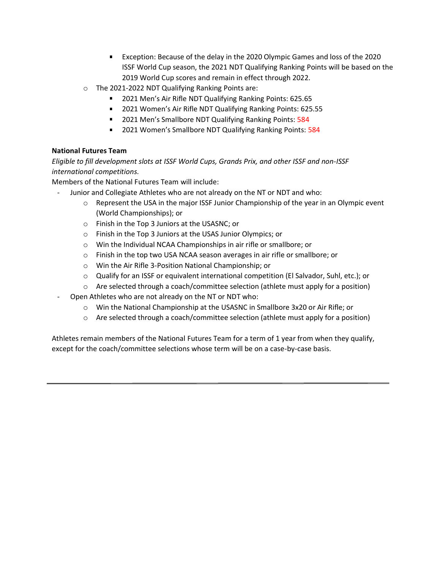- Exception: Because of the delay in the 2020 Olympic Games and loss of the 2020 ISSF World Cup season, the 2021 NDT Qualifying Ranking Points will be based on the 2019 World Cup scores and remain in effect through 2022.
- o The 2021-2022 NDT Qualifying Ranking Points are:
	- 2021 Men's Air Rifle NDT Qualifying Ranking Points: 625.65
	- **2021 Women's Air Rifle NDT Qualifying Ranking Points: 625.55**
	- 2021 Men's Smallbore NDT Qualifying Ranking Points: 584
	- 2021 Women's Smallbore NDT Qualifying Ranking Points: 584

# **National Futures Team**

*Eligible to fill development slots at ISSF World Cups, Grands Prix, and other ISSF and non-ISSF international competitions.*

Members of the National Futures Team will include:

- Junior and Collegiate Athletes who are not already on the NT or NDT and who:
	- $\circ$  Represent the USA in the major ISSF Junior Championship of the year in an Olympic event (World Championships); or
	- o Finish in the Top 3 Juniors at the USASNC; or
	- o Finish in the Top 3 Juniors at the USAS Junior Olympics; or
	- o Win the Individual NCAA Championships in air rifle or smallbore; or
	- o Finish in the top two USA NCAA season averages in air rifle or smallbore; or
	- o Win the Air Rifle 3-Position National Championship; or
	- o Qualify for an ISSF or equivalent international competition (El Salvador, Suhl, etc.); or
	- $\circ$  Are selected through a coach/committee selection (athlete must apply for a position)
- Open Athletes who are not already on the NT or NDT who:
	- o Win the National Championship at the USASNC in Smallbore 3x20 or Air Rifle; or
	- $\circ$  Are selected through a coach/committee selection (athlete must apply for a position)

Athletes remain members of the National Futures Team for a term of 1 year from when they qualify, except for the coach/committee selections whose term will be on a case-by-case basis.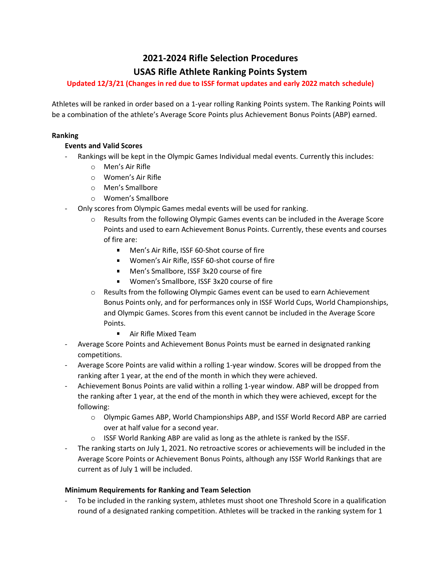# **2021-2024 Rifle Selection Procedures USAS Rifle Athlete Ranking Points System**

# **Updated 12/3/21 (Changes in red due to ISSF format updates and early 2022 match schedule)**

Athletes will be ranked in order based on a 1-year rolling Ranking Points system. The Ranking Points will be a combination of the athlete's Average Score Points plus Achievement Bonus Points (ABP) earned.

## **Ranking**

# **Events and Valid Scores**

- Rankings will be kept in the Olympic Games Individual medal events. Currently this includes:
	- o Men's Air Rifle
	- o Women's Air Rifle
	- o Men's Smallbore
	- o Women's Smallbore
- Only scores from Olympic Games medal events will be used for ranking.
	- $\circ$  Results from the following Olympic Games events can be included in the Average Score Points and used to earn Achievement Bonus Points. Currently, these events and courses of fire are:
		- Men's Air Rifle, ISSF 60-Shot course of fire
		- **Women's Air Rifle, ISSF 60-shot course of fire**
		- Men's Smallbore, ISSF 3x20 course of fire
		- Women's Smallbore, ISSF 3x20 course of fire
	- o Results from the following Olympic Games event can be used to earn Achievement Bonus Points only, and for performances only in ISSF World Cups, World Championships, and Olympic Games. Scores from this event cannot be included in the Average Score Points.
		- Air Rifle Mixed Team
- Average Score Points and Achievement Bonus Points must be earned in designated ranking competitions.
- Average Score Points are valid within a rolling 1-year window. Scores will be dropped from the ranking after 1 year, at the end of the month in which they were achieved.
- Achievement Bonus Points are valid within a rolling 1-year window. ABP will be dropped from the ranking after 1 year, at the end of the month in which they were achieved, except for the following:
	- o Olympic Games ABP, World Championships ABP, and ISSF World Record ABP are carried over at half value for a second year.
	- $\circ$  ISSF World Ranking ABP are valid as long as the athlete is ranked by the ISSF.
- The ranking starts on July 1, 2021. No retroactive scores or achievements will be included in the Average Score Points or Achievement Bonus Points, although any ISSF World Rankings that are current as of July 1 will be included.

# **Minimum Requirements for Ranking and Team Selection**

To be included in the ranking system, athletes must shoot one Threshold Score in a qualification round of a designated ranking competition. Athletes will be tracked in the ranking system for 1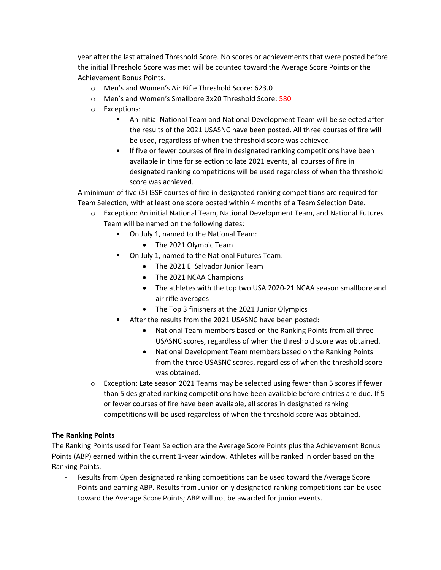year after the last attained Threshold Score. No scores or achievements that were posted before the initial Threshold Score was met will be counted toward the Average Score Points or the Achievement Bonus Points.

- o Men's and Women's Air Rifle Threshold Score: 623.0
- o Men's and Women's Smallbore 3x20 Threshold Score: 580
- o Exceptions:
	- An initial National Team and National Development Team will be selected after  $\mathbf{r}$ the results of the 2021 USASNC have been posted. All three courses of fire will be used, regardless of when the threshold score was achieved.
	- If five or fewer courses of fire in designated ranking competitions have been  $\mathbf{r}$ available in time for selection to late 2021 events, all courses of fire in designated ranking competitions will be used regardless of when the threshold score was achieved.
- A minimum of five (5) ISSF courses of fire in designated ranking competitions are required for Team Selection, with at least one score posted within 4 months of a Team Selection Date.
	- o Exception: An initial National Team, National Development Team, and National Futures Team will be named on the following dates:
		- On July 1, named to the National Team:
			- The 2021 Olympic Team
		- On July 1, named to the National Futures Team:
			- The 2021 El Salvador Junior Team
			- The 2021 NCAA Champions
			- The athletes with the top two USA 2020-21 NCAA season smallbore and air rifle averages
			- The Top 3 finishers at the 2021 Junior Olympics
		- After the results from the 2021 USASNC have been posted:
			- National Team members based on the Ranking Points from all three USASNC scores, regardless of when the threshold score was obtained.
			- National Development Team members based on the Ranking Points from the three USASNC scores, regardless of when the threshold score was obtained.
	- o Exception: Late season 2021 Teams may be selected using fewer than 5 scores if fewer than 5 designated ranking competitions have been available before entries are due. If 5 or fewer courses of fire have been available, all scores in designated ranking competitions will be used regardless of when the threshold score was obtained.

# **The Ranking Points**

The Ranking Points used for Team Selection are the Average Score Points plus the Achievement Bonus Points (ABP) earned within the current 1-year window. Athletes will be ranked in order based on the Ranking Points.

- Results from Open designated ranking competitions can be used toward the Average Score Points and earning ABP. Results from Junior-only designated ranking competitions can be used toward the Average Score Points; ABP will not be awarded for junior events.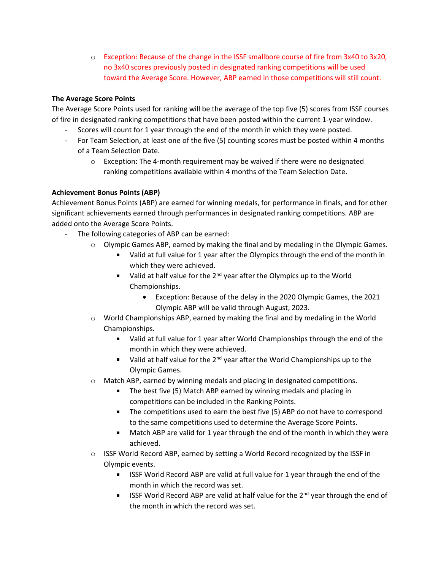o Exception: Because of the change in the ISSF smallbore course of fire from 3x40 to 3x20, no 3x40 scores previously posted in designated ranking competitions will be used toward the Average Score. However, ABP earned in those competitions will still count.

# **The Average Score Points**

The Average Score Points used for ranking will be the average of the top five (5) scores from ISSF courses of fire in designated ranking competitions that have been posted within the current 1-year window.

- Scores will count for 1 year through the end of the month in which they were posted.
- For Team Selection, at least one of the five (5) counting scores must be posted within 4 months of a Team Selection Date.
	- $\circ$  Exception: The 4-month requirement may be waived if there were no designated ranking competitions available within 4 months of the Team Selection Date.

# **Achievement Bonus Points (ABP)**

Achievement Bonus Points (ABP) are earned for winning medals, for performance in finals, and for other significant achievements earned through performances in designated ranking competitions. ABP are added onto the Average Score Points.

- The following categories of ABP can be earned:
	- $\circ$  Olympic Games ABP, earned by making the final and by medaling in the Olympic Games.
		- **Ualid at full value for 1 year after the Olympics through the end of the month in** which they were achieved.
		- Ualid at half value for the 2<sup>nd</sup> year after the Olympics up to the World Championships.
			- Exception: Because of the delay in the 2020 Olympic Games, the 2021 Olympic ABP will be valid through August, 2023.
	- $\circ$  World Championships ABP, earned by making the final and by medaling in the World Championships.
		- Valid at full value for 1 year after World Championships through the end of the month in which they were achieved.
		- $\blacksquare$  Valid at half value for the 2<sup>nd</sup> year after the World Championships up to the Olympic Games.
	- $\circ$  Match ABP, earned by winning medals and placing in designated competitions.
		- **The best five (5) Match ABP earned by winning medals and placing in** competitions can be included in the Ranking Points.
		- The competitions used to earn the best five (5) ABP do not have to correspond to the same competitions used to determine the Average Score Points.
		- Match ABP are valid for 1 year through the end of the month in which they were achieved.
	- $\circ$  ISSF World Record ABP, earned by setting a World Record recognized by the ISSF in Olympic events.
		- **IF ISSF World Record ABP are valid at full value for 1 year through the end of the** month in which the record was set.
		- ISSF World Record ABP are valid at half value for the  $2^{nd}$  year through the end of the month in which the record was set.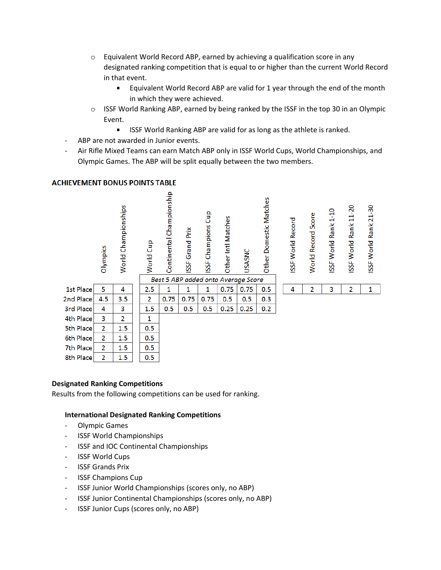- $\circ$  Equivalent World Record ABP, earned by achieving a qualification score in any designated ranking competition that is equal to or higher than the current World Record in that event.
	- $\blacksquare$ Equivalent World Record ABP are valid for 1 year through the end of the month in which they were achieved.
- $\circ$  ISSF World Ranking ABP, earned by being ranked by the ISSF in the top 30 in an Olympic Event.
	- a. ISSF World Ranking ABP are valid for as long as the athlete is ranked.
- ABP are not awarded in Junior events.
- Air Rifle Mixed Teams can earn Match ABP only in ISSF World Cups, World Championships, and Olympic Games. The ABP will be split equally between the two members.



## **ACHIEVEMENT BONUS POINTS TABLE**

### **Designated Ranking Competitions**

Results from the following competitions can be used for ranking.

### **International Designated Ranking Competitions**

- Olympic Games
- ISSF World Championships
- ISSF and IOC Continental Championships
- ISSF World Cups
- **ISSF Grands Prix**
- ISSF Champions Cup
- ISSF Junior World Championships (scores only, no ABP)
- ISSF Junior Continental Championships (scores only, no ABP)
- ISSF Junior Cups (scores only, no ABP)